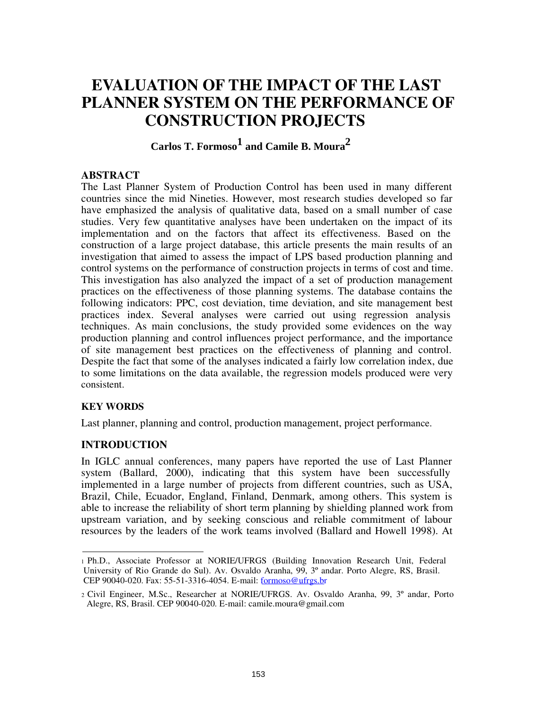# **EVALUATION OF THE IMPACT OF THE LAST PLANNER SYSTEM ON THE PERFORMANCE OF CONSTRUCTION PROJECTS**

# **Carlos T. Formoso 1 and Camile B. Moura 2**

# **ABSTRACT**

The Last Planner System of Production Control has been used in many different countries since the mid Nineties. However, most research studies developed so far have emphasized the analysis of qualitative data, based on a small number of case studies. Very few quantitative analyses have been undertaken on the impact of its implementation and on the factors that affect its effectiveness. Based on the construction of a large project database, this article presents the main results of an investigation that aimed to assess the impact of LPS based production planning and control systems on the performance of construction projects in terms of cost and time. This investigation has also analyzed the impact of a set of production management practices on the effectiveness of those planning systems. The database contains the following indicators: PPC, cost deviation, time deviation, and site management best practices index. Several analyses were carried out using regression analysis techniques. As main conclusions, the study provided some evidences on the way production planning and control influences project performance, and the importance of site management best practices on the effectiveness of planning and control. Despite the fact that some of the analyses indicated a fairly low correlation index, due to some limitations on the data available, the regression models produced were very consistent.

#### **KEY WORDS**

Last planner, planning and control, production management, project performance.

# **INTRODUCTION**

In IGLC annual conferences, many papers have reported the use of Last Planner system (Ballard, 2000), indicating that this system have been successfully implemented in a large number of projects from different countries, such as USA, Brazil, Chile, Ecuador, England, Finland, Denmark, among others. This system is able to increase the reliability of short term planning by shielding planned work from upstream variation, and by seeking conscious and reliable commitment of labour resources by the leaders of the work teams involved (Ballard and Howell 1998). At

<sup>1</sup> Ph.D., Associate Professor at NORIE/UFRGS (Building Innovation Research Unit, Federal University of Rio Grande do Sul). Av. Osvaldo Aranha, 99, 3º andar. Porto Alegre, RS, Brasil. CEP 90040-020. Fax: 55-51-3316-4054. E-mail: formoso@ufrgs.br

<sup>2</sup> Civil Engineer, M.Sc., Researcher at NORIE/UFRGS. Av. Osvaldo Aranha, 99, 3º andar, Porto Alegre, RS, Brasil. CEP 90040-020. E-mail: camile.moura@gmail.com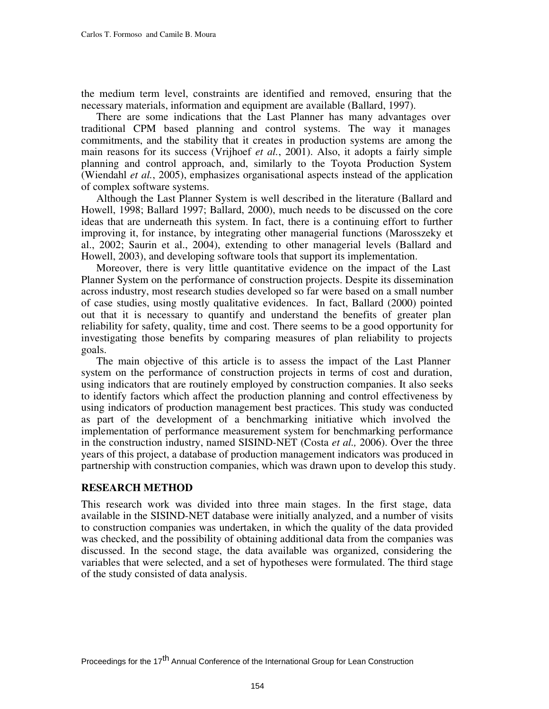the medium term level, constraints are identified and removed, ensuring that the necessary materials, information and equipment are available (Ballard, 1997).

There are some indications that the Last Planner has many advantages over traditional CPM based planning and control systems. The way it manages commitments, and the stability that it creates in production systems are among the main reasons for its success (Vrijhoef *et al.*, 2001). Also, it adopts a fairly simple planning and control approach, and, similarly to the Toyota Production System (Wiendahl *et al.*, 2005), emphasizes organisational aspects instead of the application of complex software systems.

Although the Last Planner System is well described in the literature (Ballard and Howell, 1998; Ballard 1997; Ballard, 2000), much needs to be discussed on the core ideas that are underneath this system. In fact, there is a continuing effort to further improving it, for instance, by integrating other managerial functions (Marosszeky et al., 2002; Saurin et al., 2004), extending to other managerial levels (Ballard and Howell, 2003), and developing software tools that support its implementation.

Moreover, there is very little quantitative evidence on the impact of the Last Planner System on the performance of construction projects. Despite its dissemination across industry, most research studies developed so far were based on a small number of case studies, using mostly qualitative evidences. In fact, Ballard (2000) pointed out that it is necessary to quantify and understand the benefits of greater plan reliability for safety, quality, time and cost. There seems to be a good opportunity for investigating those benefits by comparing measures of plan reliability to projects goals.

The main objective of this article is to assess the impact of the Last Planner system on the performance of construction projects in terms of cost and duration, using indicators that are routinely employed by construction companies. It also seeks to identify factors which affect the production planning and control effectiveness by using indicators of production management best practices. This study was conducted as part of the development of a benchmarking initiative which involved the implementation of performance measurement system for benchmarking performance in the construction industry, named SISIND-NET (Costa *et al.,* 2006). Over the three years of this project, a database of production management indicators was produced in partnership with construction companies, which was drawn upon to develop this study.

#### **RESEARCH METHOD**

This research work was divided into three main stages. In the first stage, data available in the SISIND-NET database were initially analyzed, and a number of visits to construction companies was undertaken, in which the quality of the data provided was checked, and the possibility of obtaining additional data from the companies was discussed. In the second stage, the data available was organized, considering the variables that were selected, and a set of hypotheses were formulated. The third stage of the study consisted of data analysis.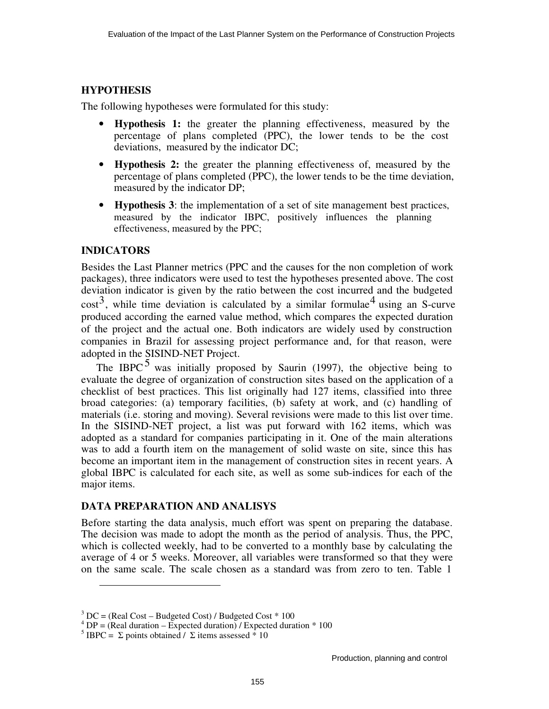# **HYPOTHESIS**

The following hypotheses were formulated for this study:

- **Hypothesis 1:** the greater the planning effectiveness, measured by the percentage of plans completed (PPC), the lower tends to be the cost deviations, measured by the indicator DC;
- **Hypothesis 2:** the greater the planning effectiveness of, measured by the percentage of plans completed (PPC), the lower tends to be the time deviation, measured by the indicator DP;
- **Hypothesis 3**: the implementation of a set of site management best practices, measured by the indicator IBPC, positively influences the planning effectiveness, measured by the PPC;

### **INDICATORS**

Besides the Last Planner metrics (PPC and the causes for the non completion of work packages), three indicators were used to test the hypotheses presented above. The cost deviation indicator is given by the ratio between the cost incurred and the budgeted  $\cos^3$ , while time deviation is calculated by a similar formulae<sup>4</sup> using an S-curve produced according the earned value method, which compares the expected duration of the project and the actual one. Both indicators are widely used by construction companies in Brazil for assessing project performance and, for that reason, were adopted in the SISIND-NET Project.

The IBPC  $5$  was initially proposed by Saurin (1997), the objective being to evaluate the degree of organization of construction sites based on the application of a checklist of best practices. This list originally had 127 items, classified into three broad categories: (a) temporary facilities, (b) safety at work, and (c) handling of materials (i.e. storing and moving). Several revisions were made to this list over time. In the SISIND-NET project, a list was put forward with 162 items, which was adopted as a standard for companies participating in it. One of the main alterations was to add a fourth item on the management of solid waste on site, since this has become an important item in the management of construction sites in recent years. A global IBPC is calculated for each site, as well as some sub-indices for each of the major items.

#### **DATA PREPARATION AND ANALISYS**

Before starting the data analysis, much effort was spent on preparing the database. The decision was made to adopt the month as the period of analysis. Thus, the PPC, which is collected weekly, had to be converted to a monthly base by calculating the average of 4 or 5 weeks. Moreover, all variables were transformed so that they were on the same scale. The scale chosen as a standard was from zero to ten. Table 1

 $3 \text{ DC} = (\text{Real Cost} - \text{Budgeted Cost}) / \text{Budgeted Cost} * 100$ 

 $^{4}$  DP = (Real duration – Expected duration) / Expected duration \* 100

<sup>&</sup>lt;sup>5</sup> IBPC =  $\Sigma$  points obtained /  $\Sigma$  items assessed \* 10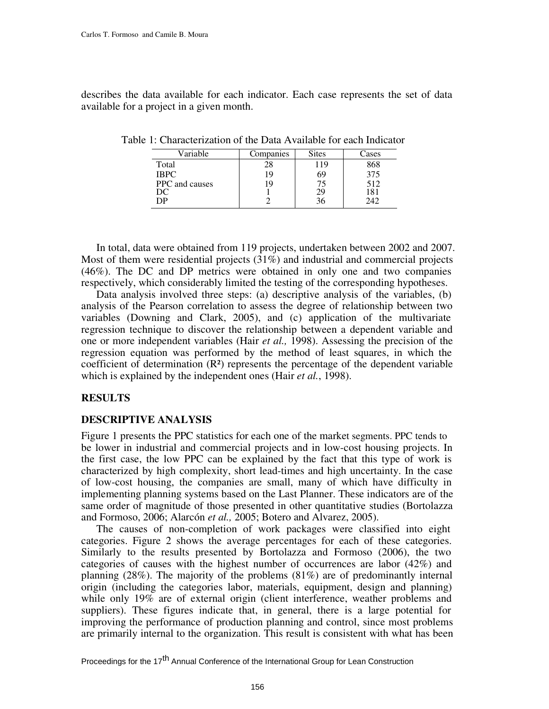describes the data available for each indicator. Each case represents the set of data available for a project in a given month.

| Variable       | Companies | <b>Sites</b> | Cases |
|----------------|-----------|--------------|-------|
| Total          | 28        | 119          | 868   |
| <b>IBPC</b>    | 19        | 69           | 375   |
| PPC and causes | Q         | 75           | 512   |
| ЭC             |           | 29           | 181   |
| эP             |           | 36           | 242   |

Table 1: Characterization of the Data Available for each Indicator

In total, data were obtained from 119 projects, undertaken between 2002 and 2007. Most of them were residential projects (31%) and industrial and commercial projects (46%). The DC and DP metrics were obtained in only one and two companies respectively, which considerably limited the testing of the corresponding hypotheses.

Data analysis involved three steps: (a) descriptive analysis of the variables, (b) analysis of the Pearson correlation to assess the degree of relationship between two variables (Downing and Clark, 2005), and (c) application of the multivariate regression technique to discover the relationship between a dependent variable and one or more independent variables (Hair *et al.,* 1998). Assessing the precision of the regression equation was performed by the method of least squares, in which the coefficient of determination  $(R<sup>2</sup>)$  represents the percentage of the dependent variable which is explained by the independent ones (Hair *et al.*, 1998).

#### **RESULTS**

#### **DESCRIPTIVE ANALYSIS**

Figure 1 presents the PPC statistics for each one of the market segments. PPC tends to be lower in industrial and commercial projects and in low-cost housing projects. In the first case, the low PPC can be explained by the fact that this type of work is characterized by high complexity, short lead-times and high uncertainty. In the case of low-cost housing, the companies are small, many of which have difficulty in implementing planning systems based on the Last Planner. These indicators are of the same order of magnitude of those presented in other quantitative studies (Bortolazza and Formoso, 2006; Alarcón *et al.,* 2005; Botero and Alvarez, 2005).

The causes of non-completion of work packages were classified into eight categories. Figure 2 shows the average percentages for each of these categories. Similarly to the results presented by Bortolazza and Formoso (2006), the two categories of causes with the highest number of occurrences are labor (42%) and planning (28%). The majority of the problems (81%) are of predominantly internal origin (including the categories labor, materials, equipment, design and planning) while only 19% are of external origin (client interference, weather problems and suppliers). These figures indicate that, in general, there is a large potential for improving the performance of production planning and control, since most problems are primarily internal to the organization. This result is consistent with what has been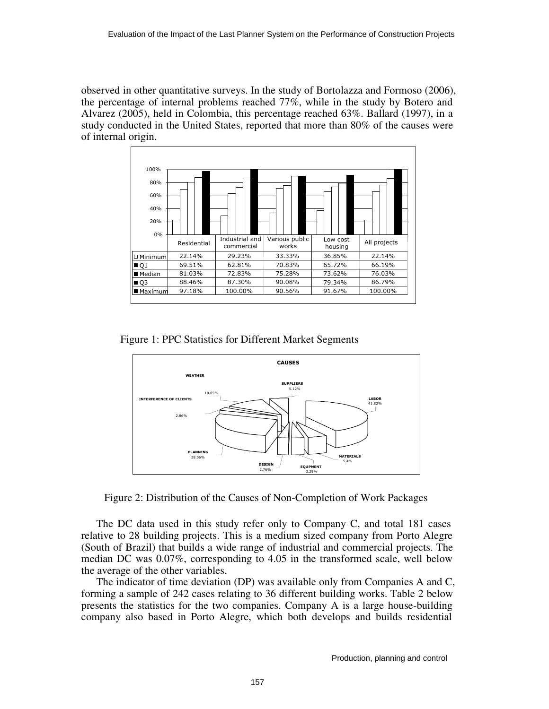observed in other quantitative surveys. In the study of Bortolazza and Formoso (2006), the percentage of internal problems reached 77%, while in the study by Botero and Alvarez (2005), held in Colombia, this percentage reached 63%. Ballard (1997), in a study conducted in the United States, reported that more than 80% of the causes were of internal origin.

| 100%              |             |                |                         |                     |              |
|-------------------|-------------|----------------|-------------------------|---------------------|--------------|
| 80%               |             |                |                         |                     |              |
|                   |             |                |                         |                     |              |
| 60%               |             |                |                         |                     |              |
| 40%               |             |                |                         |                     |              |
| 20%               |             |                |                         |                     |              |
| 0%                |             | Industrial and |                         |                     |              |
|                   | Residential | commercial     | Various public<br>works | Low cost<br>housing | All projects |
| $\Box$ Minimum    | 22.14%      | 29.23%         | 33.33%                  | 36.85%              | 22.14%       |
| Q1                | 69.51%      | 62.81%         | 70.83%                  | 65.72%              | 66.19%       |
| ■ Median          | 81.03%      | 72.83%         | 75.28%                  | 73.62%              | 76.03%       |
| $\blacksquare$ Q3 | 88.46%      | 87.30%         | 90.08%                  | 79.34%              | 86.79%       |
| ■ Maximum         | 97.18%      | 100.00%        | 90.56%                  | 91.67%              | 100.00%      |

Figure 1: PPC Statistics for Different Market Segments



Figure 2: Distribution of the Causes of Non-Completion of Work Packages

The DC data used in this study refer only to Company C, and total 181 cases relative to 28 building projects. This is a medium sized company from Porto Alegre (South of Brazil) that builds a wide range of industrial and commercial projects. The median DC was 0.07%, corresponding to 4.05 in the transformed scale, well below the average of the other variables.

The indicator of time deviation (DP) was available only from Companies A and C, forming a sample of 242 cases relating to 36 different building works. Table 2 below presents the statistics for the two companies. Company A is a large house-building company also based in Porto Alegre, which both develops and builds residential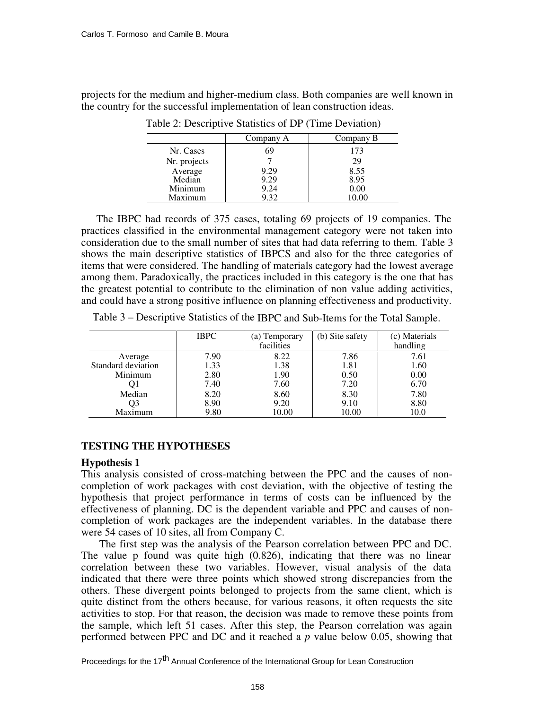projects for the medium and higher-medium class. Both companies are well known in the country for the successful implementation of lean construction ideas.

|              | Company A | Company B |
|--------------|-----------|-----------|
| Nr. Cases    | 69        | 173       |
| Nr. projects |           | 29        |
| Average      | 9.29      | 8.55      |
| Median       | 9.29      | 8.95      |
| Minimum      | 9.24      | 0.00      |
| Maximum      | 9.32      | 10.00     |

Table 2: Descriptive Statistics of DP (Time Deviation)

The IBPC had records of 375 cases, totaling 69 projects of 19 companies. The practices classified in the environmental management category were not taken into consideration due to the small number of sites that had data referring to them. Table 3 shows the main descriptive statistics of IBPCS and also for the three categories of items that were considered. The handling of materials category had the lowest average among them. Paradoxically, the practices included in this category is the one that has the greatest potential to contribute to the elimination of non value adding activities, and could have a strong positive influence on planning effectiveness and productivity.

Table 3 – Descriptive Statistics of the IBPC and Sub-Items for the Total Sample.

|                    | <b>IBPC</b> | (a) Temporary<br>facilities | (b) Site safety | (c) Materials<br>handling |
|--------------------|-------------|-----------------------------|-----------------|---------------------------|
| Average            | 7.90        | 8.22                        | 7.86            | 7.61                      |
| Standard deviation | 1.33        | 1.38                        | 1.81            | 1.60                      |
| Minimum            | 2.80        | 1.90                        | 0.50            | 0.00                      |
| Ol                 | 7.40        | 7.60                        | 7.20            | 6.70                      |
| Median             | 8.20        | 8.60                        | 8.30            | 7.80                      |
| Q3                 | 8.90        | 9.20                        | 9.10            | 8.80                      |
| Maximum            | 9.80        | 10.00                       | 10.00           | 10.0                      |

# **TESTING THE HYPOTHESES**

#### **Hypothesis 1**

This analysis consisted of cross-matching between the PPC and the causes of noncompletion of work packages with cost deviation, with the objective of testing the hypothesis that project performance in terms of costs can be influenced by the effectiveness of planning. DC is the dependent variable and PPC and causes of noncompletion of work packages are the independent variables. In the database there were 54 cases of 10 sites, all from Company C.

The first step was the analysis of the Pearson correlation between PPC and DC. The value p found was quite high (0.826), indicating that there was no linear correlation between these two variables. However, visual analysis of the data indicated that there were three points which showed strong discrepancies from the others. These divergent points belonged to projects from the same client, which is quite distinct from the others because, for various reasons, it often requests the site activities to stop. For that reason, the decision was made to remove these points from the sample, which left 51 cases. After this step, the Pearson correlation was again performed between PPC and DC and it reached a *p* value below 0.05, showing that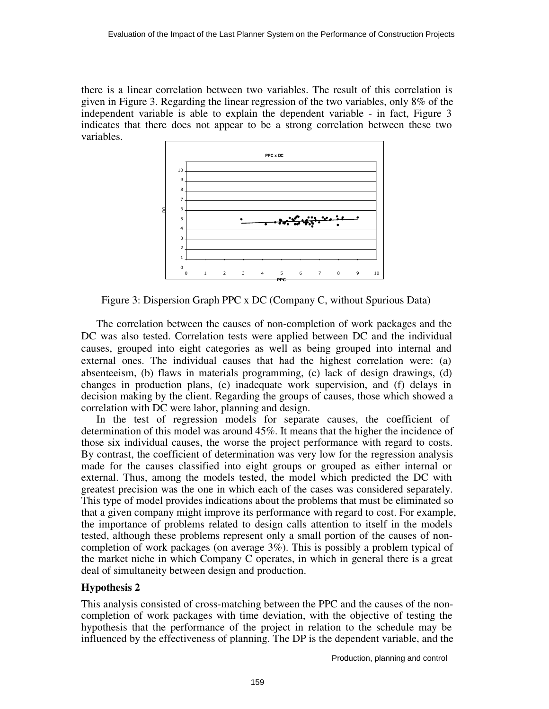there is a linear correlation between two variables. The result of this correlation is given in Figure 3. Regarding the linear regression of the two variables, only 8% of the independent variable is able to explain the dependent variable - in fact, Figure 3 indicates that there does not appear to be a strong correlation between these two variables.



Figure 3: Dispersion Graph PPC x DC (Company C, without Spurious Data)

The correlation between the causes of non-completion of work packages and the DC was also tested. Correlation tests were applied between DC and the individual causes, grouped into eight categories as well as being grouped into internal and external ones. The individual causes that had the highest correlation were: (a) absenteeism, (b) flaws in materials programming, (c) lack of design drawings, (d) changes in production plans, (e) inadequate work supervision, and (f) delays in decision making by the client. Regarding the groups of causes, those which showed a correlation with DC were labor, planning and design.

In the test of regression models for separate causes, the coefficient of determination of this model was around 45%. It means that the higher the incidence of those six individual causes, the worse the project performance with regard to costs. By contrast, the coefficient of determination was very low for the regression analysis made for the causes classified into eight groups or grouped as either internal or external. Thus, among the models tested, the model which predicted the DC with greatest precision was the one in which each of the cases was considered separately. This type of model provides indications about the problems that must be eliminated so that a given company might improve its performance with regard to cost. For example, the importance of problems related to design calls attention to itself in the models tested, although these problems represent only a small portion of the causes of noncompletion of work packages (on average 3%). This is possibly a problem typical of the market niche in which Company C operates, in which in general there is a great deal of simultaneity between design and production.

# **Hypothesis 2**

This analysis consisted of cross-matching between the PPC and the causes of the noncompletion of work packages with time deviation, with the objective of testing the hypothesis that the performance of the project in relation to the schedule may be influenced by the effectiveness of planning. The DP is the dependent variable, and the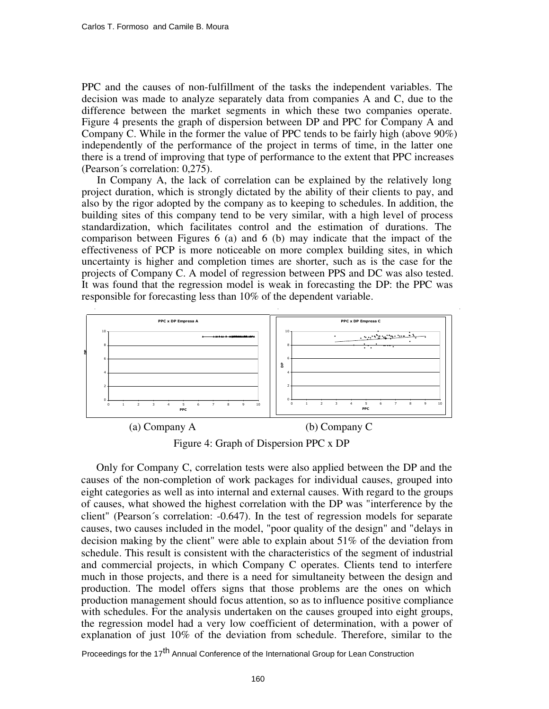PPC and the causes of non-fulfillment of the tasks the independent variables. The decision was made to analyze separately data from companies A and C, due to the difference between the market segments in which these two companies operate. Figure 4 presents the graph of dispersion between DP and PPC for Company A and Company C. While in the former the value of PPC tends to be fairly high (above 90%) independently of the performance of the project in terms of time, in the latter one there is a trend of improving that type of performance to the extent that PPC increases (Pearson´s correlation: 0,275).

In Company A, the lack of correlation can be explained by the relatively long project duration, which is strongly dictated by the ability of their clients to pay, and also by the rigor adopted by the company as to keeping to schedules. In addition, the building sites of this company tend to be very similar, with a high level of process standardization, which facilitates control and the estimation of durations. The comparison between Figures 6 (a) and 6 (b) may indicate that the impact of the effectiveness of PCP is more noticeable on more complex building sites, in which uncertainty is higher and completion times are shorter, such as is the case for the projects of Company C. A model of regression between PPS and DC was also tested. It was found that the regression model is weak in forecasting the DP: the PPC was responsible for forecasting less than 10% of the dependent variable.



Figure 4: Graph of Dispersion PPC x DP

Only for Company C, correlation tests were also applied between the DP and the causes of the non-completion of work packages for individual causes, grouped into eight categories as well as into internal and external causes. With regard to the groups of causes, what showed the highest correlation with the DP was "interference by the client" (Pearson´s correlation: -0.647). In the test of regression models for separate causes, two causes included in the model, "poor quality of the design" and "delays in decision making by the client" were able to explain about 51% of the deviation from schedule. This result is consistent with the characteristics of the segment of industrial and commercial projects, in which Company C operates. Clients tend to interfere much in those projects, and there is a need for simultaneity between the design and production. The model offers signs that those problems are the ones on which production management should focus attention, so as to influence positive compliance with schedules. For the analysis undertaken on the causes grouped into eight groups, the regression model had a very low coefficient of determination, with a power of explanation of just 10% of the deviation from schedule. Therefore, similar to the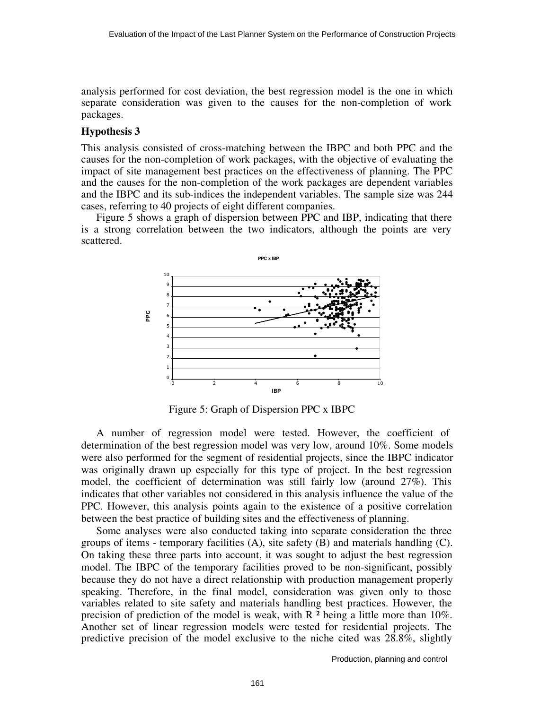analysis performed for cost deviation, the best regression model is the one in which separate consideration was given to the causes for the non-completion of work packages.

#### **Hypothesis 3**

This analysis consisted of cross-matching between the IBPC and both PPC and the causes for the non-completion of work packages, with the objective of evaluating the impact of site management best practices on the effectiveness of planning. The PPC and the causes for the non-completion of the work packages are dependent variables and the IBPC and its sub-indices the independent variables. The sample size was 244 cases, referring to 40 projects of eight different companies.

Figure 5 shows a graph of dispersion between PPC and IBP, indicating that there is a strong correlation between the two indicators, although the points are very scattered.



Figure 5: Graph of Dispersion PPC x IBPC

A number of regression model were tested. However, the coefficient of determination of the best regression model was very low, around 10%. Some models were also performed for the segment of residential projects, since the IBPC indicator was originally drawn up especially for this type of project. In the best regression model, the coefficient of determination was still fairly low (around 27%). This indicates that other variables not considered in this analysis influence the value of the PPC. However, this analysis points again to the existence of a positive correlation between the best practice of building sites and the effectiveness of planning.

Some analyses were also conducted taking into separate consideration the three groups of items - temporary facilities (A), site safety (B) and materials handling (C). On taking these three parts into account, it was sought to adjust the best regression model. The IBPC of the temporary facilities proved to be non-significant, possibly because they do not have a direct relationship with production management properly speaking. Therefore, in the final model, consideration was given only to those variables related to site safety and materials handling best practices. However, the precision of prediction of the model is weak, with R ² being a little more than 10%. Another set of linear regression models were tested for residential projects. The predictive precision of the model exclusive to the niche cited was 28.8%, slightly

Production, planning and control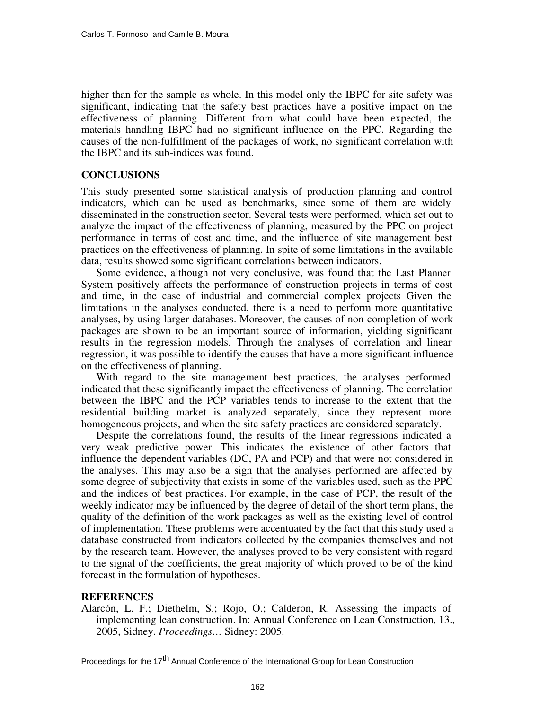higher than for the sample as whole. In this model only the IBPC for site safety was significant, indicating that the safety best practices have a positive impact on the effectiveness of planning. Different from what could have been expected, the materials handling IBPC had no significant influence on the PPC. Regarding the causes of the non-fulfillment of the packages of work, no significant correlation with the IBPC and its sub-indices was found.

# **CONCLUSIONS**

This study presented some statistical analysis of production planning and control indicators, which can be used as benchmarks, since some of them are widely disseminated in the construction sector. Several tests were performed, which set out to analyze the impact of the effectiveness of planning, measured by the PPC on project performance in terms of cost and time, and the influence of site management best practices on the effectiveness of planning. In spite of some limitations in the available data, results showed some significant correlations between indicators.

Some evidence, although not very conclusive, was found that the Last Planner System positively affects the performance of construction projects in terms of cost and time, in the case of industrial and commercial complex projects Given the limitations in the analyses conducted, there is a need to perform more quantitative analyses, by using larger databases. Moreover, the causes of non-completion of work packages are shown to be an important source of information, yielding significant results in the regression models. Through the analyses of correlation and linear regression, it was possible to identify the causes that have a more significant influence on the effectiveness of planning.

With regard to the site management best practices, the analyses performed indicated that these significantly impact the effectiveness of planning. The correlation between the IBPC and the PCP variables tends to increase to the extent that the residential building market is analyzed separately, since they represent more homogeneous projects, and when the site safety practices are considered separately.

Despite the correlations found, the results of the linear regressions indicated a very weak predictive power. This indicates the existence of other factors that influence the dependent variables (DC, PA and PCP) and that were not considered in the analyses. This may also be a sign that the analyses performed are affected by some degree of subjectivity that exists in some of the variables used, such as the PPC and the indices of best practices. For example, in the case of PCP, the result of the weekly indicator may be influenced by the degree of detail of the short term plans, the quality of the definition of the work packages as well as the existing level of control of implementation. These problems were accentuated by the fact that this study used a database constructed from indicators collected by the companies themselves and not by the research team. However, the analyses proved to be very consistent with regard to the signal of the coefficients, the great majority of which proved to be of the kind forecast in the formulation of hypotheses.

#### **REFERENCES**

Alarcón, L. F.; Diethelm, S.; Rojo, O.; Calderon, R. Assessing the impacts of implementing lean construction. In: Annual Conference on Lean Construction, 13., 2005, Sidney. *Proceedings…* Sidney: 2005.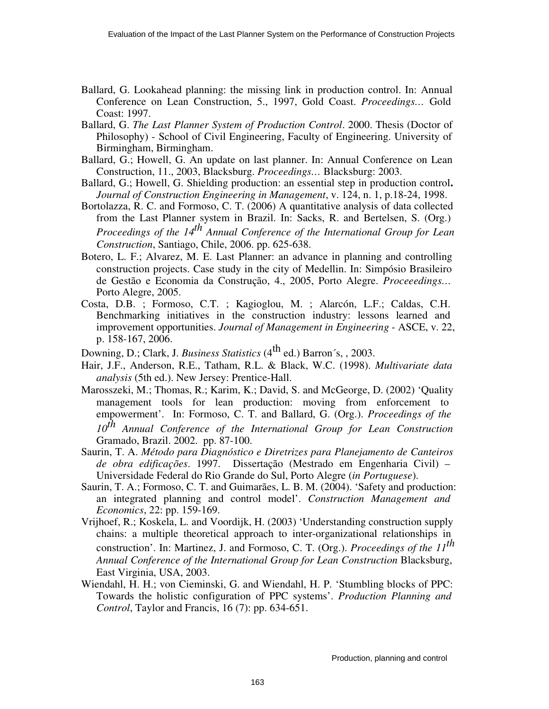- Ballard, G. Lookahead planning: the missing link in production control. In: Annual Conference on Lean Construction, 5., 1997, Gold Coast. *Proceedings…* Gold Coast: 1997.
- Ballard, G. *The Last Planner System of Production Control*. 2000. Thesis (Doctor of Philosophy) - School of Civil Engineering, Faculty of Engineering. University of Birmingham, Birmingham.
- Ballard, G.; Howell, G. An update on last planner. In: Annual Conference on Lean Construction, 11., 2003, Blacksburg. *Proceedings…* Blacksburg: 2003.
- Ballard, G.; Howell, G. Shielding production: an essential step in production control**.**  *Journal of Construction Engineering in Management*, v. 124, n. 1, p.18-24, 1998.
- Bortolazza, R. C. and Formoso, C. T. (2006) A quantitative analysis of data collected from the Last Planner system in Brazil. In: Sacks, R. and Bertelsen, S. (Org.) *Proceedings of the 14th Annual Conference of the International Group for Lean Construction*, Santiago, Chile, 2006. pp. 625-638.
- Botero, L. F.; Alvarez, M. E. Last Planner: an advance in planning and controlling construction projects. Case study in the city of Medellin. In: Simpósio Brasileiro de Gestão e Economia da Construção, 4., 2005, Porto Alegre. *Proceeedings…* Porto Alegre, 2005.
- Costa, D.B. ; Formoso, C.T. ; Kagioglou, M. ; Alarcón, L.F.; Caldas, C.H. Benchmarking initiatives in the construction industry: lessons learned and improvement opportunities. *Journal of Management in Engineering* - ASCE, v. 22, p. 158-167, 2006.
- Downing, D.; Clark, J. *Business Statistics* (4<sup>th</sup> ed.) Barron's, , 2003.
- Hair, J.F., Anderson, R.E., Tatham, R.L. & Black, W.C. (1998). *Multivariate data analysis* (5th ed.). New Jersey: Prentice-Hall.
- Marosszeki, M.; Thomas, R.; Karim, K.; David, S. and McGeorge, D. (2002) 'Quality management tools for lean production: moving from enforcement to empowerment'. In: Formoso, C. T. and Ballard, G. (Org.). *Proceedings of the 10th Annual Conference of the International Group for Lean Construction* Gramado, Brazil. 2002. pp. 87-100.
- Saurin, T. A. *Método para Diagnóstico e Diretrizes para Planejamento de Canteiros de obra edificações*. 1997. Dissertação (Mestrado em Engenharia Civil) – Universidade Federal do Rio Grande do Sul, Porto Alegre (*in Portuguese*).
- Saurin, T. A.; Formoso, C. T. and Guimarães, L. B. M. (2004). 'Safety and production: an integrated planning and control model'. *Construction Management and Economics*, 22: pp. 159-169.
- Vrijhoef, R.; Koskela, L. and Voordijk, H. (2003) 'Understanding construction supply chains: a multiple theoretical approach to inter-organizational relationships in construction'. In: Martinez, J. and Formoso, C. T. (Org.). *Proceedings of the 11th Annual Conference of the International Group for Lean Construction* Blacksburg, East Virginia, USA, 2003.
- Wiendahl, H. H.; von Cieminski, G. and Wiendahl, H. P. 'Stumbling blocks of PPC: Towards the holistic configuration of PPC systems'. *Production Planning and Control*, Taylor and Francis, 16 (7): pp. 634-651.